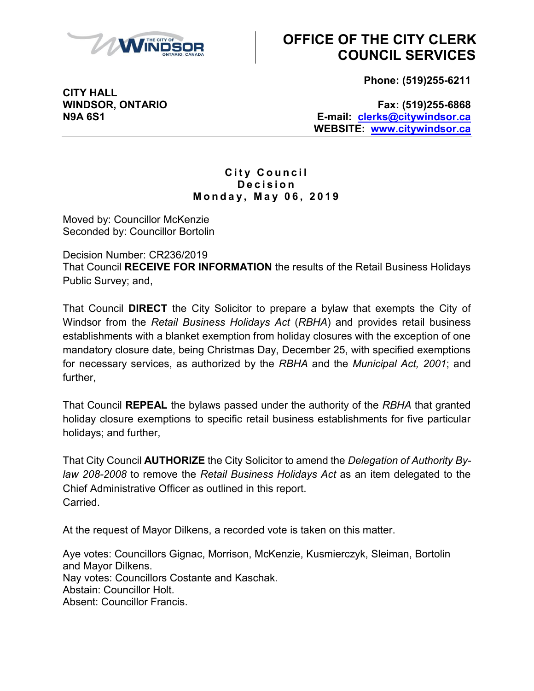

## **OFFICE OF THE CITY CLERK COUNCIL SERVICES**

**Phone: (519)255-6211** 

 **N9A 6S1 E-mail: [clerks@citywindsor.ca](mailto:clerks@citywindsor.ca)  WEBSITE: [www.citywindsor.ca](http://www.citywindsor.ca/)  WINDSOR, ONTARIO Fax: (519)255-6868** 

## **M o n d a y , M a y 0 6 , 2 0 1 9 City Council D e c i s i o n**

Moved by: Councillor McKenzie Seconded by: Councillor Bortolin

Decision Number: CR236/2019 That Council **RECEIVE FOR INFORMATION** the results of the Retail Business Holidays Public Survey; and,

 That Council **DIRECT** the City Solicitor to prepare a bylaw that exempts the City of Windsor from the *Retail Business Holidays Act* (*RBHA*) and provides retail business establishments with a blanket exemption from holiday closures with the exception of one mandatory closure date, being Christmas Day, December 25, with specified exemptions for necessary services, as authorized by the *RBHA* and the *Municipal Act, 2001*; and further,

 That Council **REPEAL** the bylaws passed under the authority of the *RBHA* that granted holiday closure exemptions to specific retail business establishments for five particular holidays; and further,

 That City Council **AUTHORIZE** the City Solicitor to amend the *Delegation of Authority By- law 208-2008* to remove the *Retail Business Holidays Act* as an item delegated to the Chief Administrative Officer as outlined in this report. Carried.

At the request of Mayor Dilkens, a recorded vote is taken on this matter.

Aye votes: Councillors Gignac, Morrison, McKenzie, Kusmierczyk, Sleiman, Bortolin and Mayor Dilkens. Nay votes: Councillors Costante and Kaschak. Abstain: Councillor Holt. Absent: Councillor Francis.

**CITY HALL**